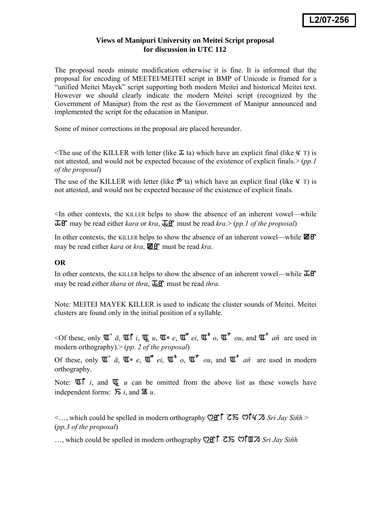## **Views of Manipuri University on Meitei Script proposal for discussion in UTC 112**

The proposal needs minute modification otherwise it is fine. It is informed that the proposal for encoding of MEETEI/MEITEI script in BMP of Unicode is framed for a "unified Meitei Mayek" script supporting both modern Meitei and historical Meitei text. However we should clearly indicate the modern Meitei script (recognized by the Government of Manipur) from the rest as the Government of Manipur announced and implemented the script for the education in Manipur.

Some of minor corrections in the proposal are placed hereunder.

The use of the KILLER with letter (like  $\bar{x}$  ta) which have an explicit final (like  $\frac{1}{\epsilon}$  T) is not attested, and would not be expected because of the existence of explicit finals.> (*pp.1 of the proposal*)

The use of the KILLER with letter (like  $\mathfrak{S}$  ta) which have an explicit final (like  $\mathcal{K}$  T) is not attested, and would not be expected because of the existence of explicit finals.

<In other contexts, the KILLER helps to show the absence of an inherent vowel—while  $\overline{L}$ ff may be read either *kara* or *kra*,  $\overline{L}$ ff must be read *kra.*> (*pp.1 of the proposal*)

In other contexts, the KILLER helps to show the absence of an inherent vowel—while  $\mathbb{E}[\mathbf{f}]$ may be read either *kara* or *kra*,  $\mathbf{W}$  of must be read *kra*.

## **OR**

In other contexts, the KILLER helps to show the absence of an inherent vowel—while  $\overline{\mathbf{\Delta}}\mathbf{f}$ may be read either *thara* or *thra*,  $\overline{\mathbf{\Delta}}\mathbf{f}$  must be read *thra*.

Note: MEITEI MAYEK KILLER is used to indicate the cluster sounds of Meitei. Meitei clusters are found only in the initial position of a syllable.

 $\leq$ Of these, only  $\mathbb{U}^*$   $\bar{a}$ ,  $\mathbb{U}^{\uparrow}$  *i*,  $\mathbb{U}$ ,  $\mathbb{U}^{\circ}$  *e*,  $\mathbb{U}^{\circ}$  *ei*,  $\mathbb{U}^{\circ}$  *o*,  $\mathbb{U}^{\circ}$  *ou*, and  $\mathbb{U}^{\circ}$  *an*<sup>*i*</sup> are used in modern orthography).> (*pp. 2 of the proposal*)

Of these, only  $\mathbb{U}$   $\overline{a}$ ,  $\mathbb{U}$   $\circ$   $e$ ,  $\mathbb{U}$   $\overline{e}$  *ei*,  $\mathbb{U}$   $\overline{f}$   $\circ$  *ou*, and  $\mathbb{U}$   $\overline{f}$   $a\hat{n}$  are used in modern orthography.

Note:  $\mathbb{U}\left[\begin{array}{cc}i, \text{ and } \mathbb{U} & u \text{ can be omitted from the above list as these vowels have}\end{array}\right]$ independent forms:  $\overline{D}$  *i*, and  $\overline{D}$  *u*.

 $\leq$ ..., which could be spelled in modern orthography **Off**  $\overline{C}$   $\overline{D}$   $\overline{C}$   $\overline{D}$   $\overline{C}$   $\overline{D}$   $\overline{C}$   $\overline{D}$   $\overline{D}$   $\overline{D}$   $\overline{D}$   $\overline{D}$   $\overline{D}$   $\overline{D}$   $\overline{D}$   $\overline{D}$   $\overline{D}$   $\overline{D}$ (*pp.3 of the proposal*)

…, which could be spelled in modern orthography  $\mathcal{O}\mathbf{f}$   $\mathcal{I}$   $\mathcal{I}$   $\mathcal{I}$   $\mathcal{I}$  sind  $\mathcal{I}$   $\mathcal{I}$  sind  $\mathcal{I}$